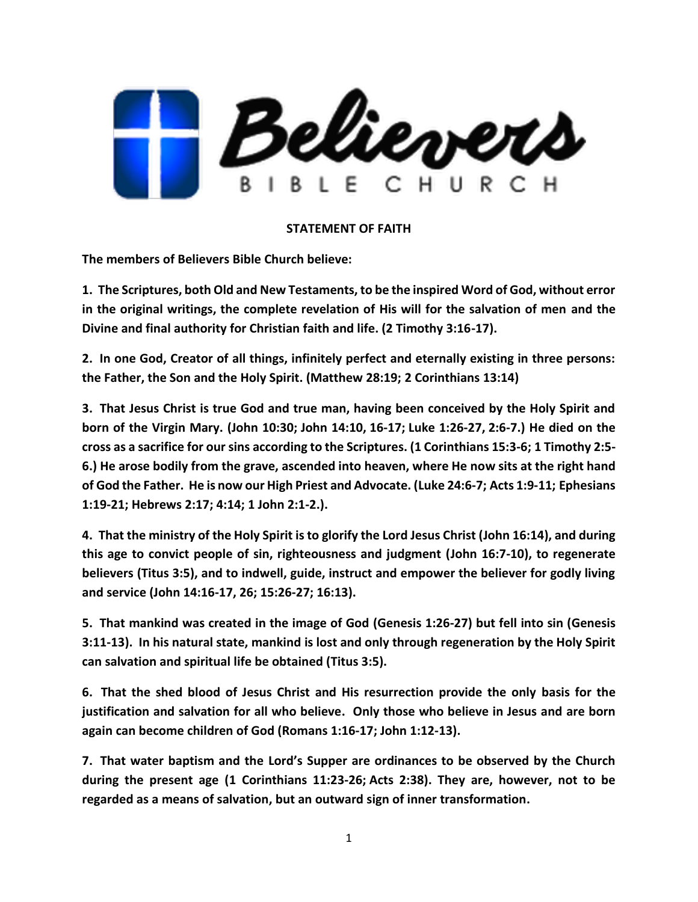

## **STATEMENT OF FAITH**

**The members of Believers Bible Church believe:**

**1. The Scriptures, both Old and New Testaments, to be the inspired Word of God, without error in the original writings, the complete revelation of His will for the salvation of men and the Divine and final authority for Christian faith and life. (2 Timothy 3:16-17).**

**2. In one God, Creator of all things, infinitely perfect and eternally existing in three persons: the Father, the Son and the Holy Spirit. (Matthew 28:19; 2 Corinthians 13:14)**

**3. That Jesus Christ is true God and true man, having been conceived by the Holy Spirit and born of the Virgin Mary. (John 10:30; John 14:10, 16-17; Luke 1:26-27, 2:6-7.) He died on the cross as a sacrifice for our sins according to the Scriptures. [\(1 Corinthians 15:3-6;](https://ref.ly/logosref/BibleNASB95.1Co15.3-6) [1 Timothy 2:5-](https://ref.ly/logosref/BibleNASB95.1Ti2.5-6) [6.](https://ref.ly/logosref/BibleNASB95.1Ti2.5-6)) He arose bodily from the grave, ascended into heaven, where He now sits at the right hand of God the Father. He is now our High Priest and Advocate. [\(Luke 24:6-7;](https://ref.ly/logosref/BibleNASB95.Lk24.6-7) [Acts 1:9-11;](https://ref.ly/logosref/BibleNASB95.Ac1.9-11) [Ephesians](https://ref.ly/logosref/BibleNASB95.Eph1.19-21)  [1:19-21;](https://ref.ly/logosref/BibleNASB95.Eph1.19-21) [Hebrews 2:17;](https://ref.ly/logosref/BibleNASB95.Heb2.17) [4:14;](https://ref.ly/logosref/BibleNASB95.Heb4.14) [1 John 2:1-2.](https://ref.ly/logosref/BibleNASB95.1Jn2.1-2)).**

**4. That the ministry of the Holy Spirit is to glorify the Lord Jesus Christ [\(John 16:14\)](https://ref.ly/logosref/BibleNASB95.Jn16.14), and during this age to convict people of sin, righteousness and judgment [\(John 16:7-10\)](https://ref.ly/logosref/BibleNASB95.Jn16.7-10), to regenerate believers [\(Titus 3:5\)](https://ref.ly/logosref/BibleNASB95.Tt3.5), and to indwell, guide, instruct and empower the believer for godly living and service [\(John 14:16-17,](https://ref.ly/logosref/BibleNASB95.Jn14.16-17) [26;](https://ref.ly/logosref/BibleNASB95.Jn14.26) [15:26-27;](https://ref.ly/logosref/BibleNASB95.Jn15.26-27) [16:13\)](https://ref.ly/logosref/BibleNASB95.Jn16.13).**

**5. That mankind was created in the image of God [\(Genesis 1:26-27\)](https://ref.ly/logosref/BibleNASB95.Ge1.26-27) but fell into sin [\(Genesis](https://ref.ly/logosref/BibleNASB95.Ge3.11-13)  [3:11-13\)](https://ref.ly/logosref/BibleNASB95.Ge3.11-13). In his natural state, mankind is lost and only through regeneration by the Holy Spirit can salvation and spiritual life be obtained [\(Titus 3:5\)](https://ref.ly/logosref/BibleNASB95.Tt3.5).**

**6. That the shed blood of Jesus Christ and His resurrection provide the only basis for the justification and salvation for all who believe. Only those who believe in Jesus and are born again can become children of God [\(Romans 1:16-17;](https://ref.ly/logosref/BibleNASB95.Ro1.16-17) [John 1:12-13\)](https://ref.ly/logosref/BibleNASB95.Jn1.12-13).**

**7. That water baptism and the Lord's Supper are ordinances to be observed by the Church during the present age [\(1 Corinthians 11:23-26;](https://ref.ly/logosref/BibleNASB95.1Co11.23-26) [Acts 2:38\)](https://ref.ly/logosref/BibleNASB95.Ac2.38). They are, however, not to be regarded as a means of salvation, but an outward sign of inner transformation.**